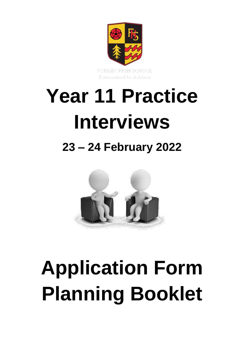

# **Year 11 Practice Interviews**

# **23 – 24 February 2022**



# **Application Form Planning Booklet**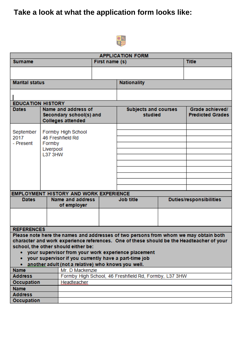# **Take a look at what the application form looks like:**



| <b>APPLICATION FORM</b>                                                                                       |                |                                               |                                        |                                                                                                                                             |                                            |                                                                                          |
|---------------------------------------------------------------------------------------------------------------|----------------|-----------------------------------------------|----------------------------------------|---------------------------------------------------------------------------------------------------------------------------------------------|--------------------------------------------|------------------------------------------------------------------------------------------|
| <b>Surname</b>                                                                                                |                | First name (s)                                |                                        | <b>Title</b>                                                                                                                                |                                            |                                                                                          |
|                                                                                                               |                |                                               |                                        |                                                                                                                                             |                                            |                                                                                          |
|                                                                                                               |                |                                               |                                        |                                                                                                                                             |                                            |                                                                                          |
| <b>Marital status</b>                                                                                         |                |                                               |                                        | <b>Nationality</b>                                                                                                                          |                                            |                                                                                          |
|                                                                                                               |                |                                               |                                        |                                                                                                                                             |                                            |                                                                                          |
| <b>EDUCATION HISTORY</b>                                                                                      |                |                                               |                                        |                                                                                                                                             |                                            |                                                                                          |
| Name and address of<br><b>Dates</b><br>Secondary school(s) and<br><b>Colleges attended</b>                    |                |                                               | <b>Subjects and courses</b><br>studied |                                                                                                                                             | Grade achieved/<br><b>Predicted Grades</b> |                                                                                          |
|                                                                                                               |                |                                               |                                        |                                                                                                                                             |                                            |                                                                                          |
| September<br>2017                                                                                             |                | Formby High School<br>46 Freshfield Rd        |                                        |                                                                                                                                             |                                            |                                                                                          |
| - Present                                                                                                     | Formby         |                                               |                                        |                                                                                                                                             |                                            |                                                                                          |
|                                                                                                               | Liverpool      |                                               |                                        |                                                                                                                                             |                                            |                                                                                          |
|                                                                                                               | <b>L37 3HW</b> |                                               |                                        |                                                                                                                                             |                                            |                                                                                          |
|                                                                                                               |                |                                               |                                        |                                                                                                                                             |                                            |                                                                                          |
|                                                                                                               |                |                                               |                                        |                                                                                                                                             |                                            |                                                                                          |
|                                                                                                               |                |                                               |                                        |                                                                                                                                             |                                            |                                                                                          |
|                                                                                                               |                |                                               |                                        |                                                                                                                                             |                                            |                                                                                          |
|                                                                                                               |                |                                               |                                        |                                                                                                                                             |                                            |                                                                                          |
|                                                                                                               |                | <b>EMPLOYMENT HISTORY AND WORK EXPERIENCE</b> |                                        |                                                                                                                                             |                                            |                                                                                          |
| <b>Dates</b>                                                                                                  |                | Name and address<br>of employer               |                                        | <b>Job title</b>                                                                                                                            |                                            | <b>Duties/responsibilities</b>                                                           |
|                                                                                                               |                |                                               |                                        |                                                                                                                                             |                                            |                                                                                          |
| <b>REFERENCES</b>                                                                                             |                |                                               |                                        |                                                                                                                                             |                                            |                                                                                          |
|                                                                                                               |                | school, the other should either be:           |                                        | Please note here the names and addresses of two persons from whom we may obtain both<br>your supervisor from your work experience placement |                                            | character and work experience references. One of these should be the Headteacher of your |
| • your supervisor if you currently have a part-time job<br>another adult (not a relative) who knows you well. |                |                                               |                                        |                                                                                                                                             |                                            |                                                                                          |
| Mr. D Mackenzie<br><b>Name</b>                                                                                |                |                                               |                                        |                                                                                                                                             |                                            |                                                                                          |
| Formby High School, 46 Freshfield Rd, Formby, L37 3HW<br><b>Address</b>                                       |                |                                               |                                        |                                                                                                                                             |                                            |                                                                                          |
| <b>Occupation</b><br>Headteacher                                                                              |                |                                               |                                        |                                                                                                                                             |                                            |                                                                                          |
| <b>Name</b>                                                                                                   |                |                                               |                                        |                                                                                                                                             |                                            |                                                                                          |
| <b>Address</b>                                                                                                |                |                                               |                                        |                                                                                                                                             |                                            |                                                                                          |
| Occupation                                                                                                    |                |                                               |                                        |                                                                                                                                             |                                            |                                                                                          |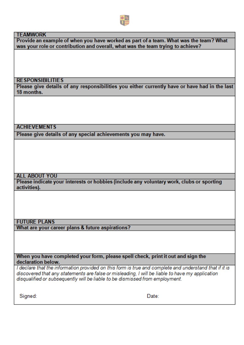

#### **TFAMWORK**

Provide an example of when you have worked as part of a team. What was the team? What was your role or contribution and overall, what was the team trying to achieve?

#### **RESPONSIBILITIES**

Please give details of any responsibilities you either currently have or have had in the last 18 months.

#### **ACHIEVEMENTS**

Please give details of any special achievements you may have.

#### **ALL ABOUT YOU**

Please indicate your interests or hobbies (include any voluntary work, clubs or sporting activities).

#### **FUTURE PLANS**

What are your career plans & future aspirations?

When you have completed your form, please spell check, print it out and sign the declaration below.

I declare that the information provided on this form is true and complete and understand that if it is discovered that any statements are false or misleading. I will be liable to have my application disqualified or subsequently will be liable to be dismissed from employment.

Signed:

Date: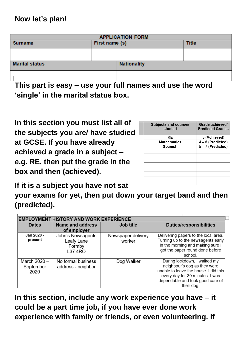| <b>APPLICATION FORM</b>                                  |                |                    |              |  |
|----------------------------------------------------------|----------------|--------------------|--------------|--|
| Surname                                                  | First name (s) |                    | <b>Title</b> |  |
|                                                          |                |                    |              |  |
|                                                          |                |                    |              |  |
| <b>Marital status</b>                                    |                | <b>Nationality</b> |              |  |
|                                                          |                |                    |              |  |
| This nart is easy – use your full names and use the word |                |                    |              |  |

**This part is easy – use your full names and use the word 'single' in the marital status box.**

**In this section you must list all of the subjects you are/ have studied at GCSE. If you have already achieved a grade in a subject – e.g. RE, then put the grade in the box and then (achieved).**

| <b>Subjects and courses</b><br>studied | Grade achieved/<br><b>Predicted Grades</b> |
|----------------------------------------|--------------------------------------------|
| RE                                     | 5 (Achieved)                               |
| <b>Mathematics</b>                     | $4-6$ (Predicted)                          |
| <b>Spanish</b>                         | 5-7 (Predicted)                            |
|                                        |                                            |
|                                        |                                            |
|                                        |                                            |
|                                        |                                            |
|                                        |                                            |
|                                        |                                            |
|                                        |                                            |
|                                        |                                            |

**If it is a subject you have not sat** 

**your exams for yet, then put down your target band and then (predicted).**

| <b>EMPLOYMENT HISTORY AND WORK EXPERIENCE</b> |                                                             |                              |                                                                                                                                                                                            |  |  |
|-----------------------------------------------|-------------------------------------------------------------|------------------------------|--------------------------------------------------------------------------------------------------------------------------------------------------------------------------------------------|--|--|
| <b>Dates</b>                                  | Name and address<br>Job title                               |                              | <b>Duties/responsibilities</b>                                                                                                                                                             |  |  |
|                                               | of employer                                                 |                              |                                                                                                                                                                                            |  |  |
| Jan 2020 -<br>present                         | John's Newsagents<br>Leafy Lane<br>Formby<br><b>L37 4RO</b> | Newspaper delivery<br>worker | Delivering papers to the local area.<br>Turning up to the newsagents early<br>in the morning and making sure I<br>got the paper round done before<br>school.                               |  |  |
| March 2020 -<br>September<br>2020             | No formal business<br>address - neighbor                    | Dog Walker                   | During lockdown, I walked my<br>neighbour's dog as they were<br>unable to leave the house. I did this<br>every day for 30 minutes. I was<br>dependable and took good care of<br>their dog. |  |  |

**In this section, include any work experience you have – it could be a part time job, if you have ever done work experience with family or friends, or even volunteering. If**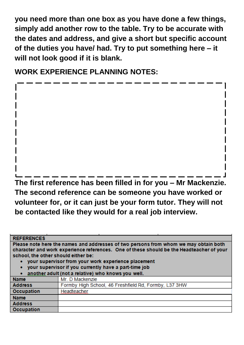**you need more than one box as you have done a few things, simply add another row to the table. Try to be accurate with the dates and address, and give a short but specific account of the duties you have/ had. Try to put something here – it will not look good if it is blank.**

**WORK EXPERIENCE PLANNING NOTES:**

**The first reference has been filled in for you – Mr Mackenzie. The second reference can be someone you have worked or volunteer for, or it can just be your form tutor. They will not be contacted like they would for a real job interview.**

| <b>REFERENCES</b>                                                                                                                                                                                                       |                                                       |  |
|-------------------------------------------------------------------------------------------------------------------------------------------------------------------------------------------------------------------------|-------------------------------------------------------|--|
| Please note here the names and addresses of two persons from whom we may obtain both<br>character and work experience references. One of these should be the Headteacher of your<br>school, the other should either be: |                                                       |  |
| your supervisor from your work experience placement<br>your supervisor if you currently have a part-time job                                                                                                            |                                                       |  |
|                                                                                                                                                                                                                         | another adult (not a relative) who knows you well.    |  |
| <b>Name</b>                                                                                                                                                                                                             | Mr. D Mackenzie                                       |  |
| <b>Address</b>                                                                                                                                                                                                          | Formby High School, 46 Freshfield Rd, Formby, L37 3HW |  |
| <b>Occupation</b>                                                                                                                                                                                                       | Headteacher.                                          |  |
| <b>Name</b>                                                                                                                                                                                                             |                                                       |  |
| <b>Address</b>                                                                                                                                                                                                          |                                                       |  |
| <b>Occupation</b>                                                                                                                                                                                                       |                                                       |  |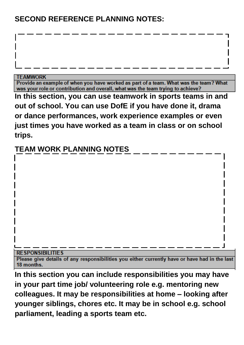### **SECOND REFERENCE PLANNING NOTES:**

#### **TEAMWORK**

Provide an example of when you have worked as part of a team. What was the team? What was your role or contribution and overall, what was the team trying to achieve?

**In this section, you can use teamwork in sports teams in and out of school. You can use DofE if you have done it, drama or dance performances, work experience examples or even just times you have worked as a team in class or on school trips.**

# **TEAM WORK PLANNING NOTES**

#### **RESPONSIBILITIES**

Please give details of any responsibilities you either currently have or have had in the last 18 months.

**In this section you can include responsibilities you may have in your part time job/ volunteering role e.g. mentoring new colleagues. It may be responsibilities at home – looking after younger siblings, chores etc. It may be in school e.g. school parliament, leading a sports team etc.**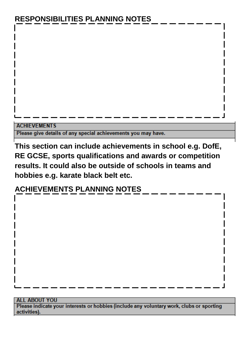# **RESPONSIBILITIES PLANNING NOTES**

#### **ACHIEVEMENTS**

Please give details of any special achievements you may have.

**This section can include achievements in school e.g. DofE, RE GCSE, sports qualifications and awards or competition results. It could also be outside of schools in teams and hobbies e.g. karate black belt etc.**

## **ACHIEVEMENTS PLANNING NOTES**

#### **ALL ABOUT YOU**

Please indicate your interests or hobbies (include any voluntary work, clubs or sporting activities).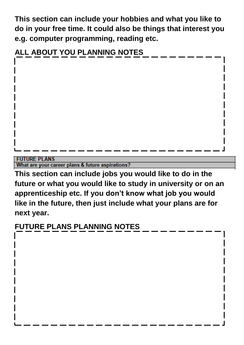**This section can include your hobbies and what you like to do in your free time. It could also be things that interest you e.g. computer programming, reading etc.**



**FUTURE PLANS** 

What are your career plans & future aspirations?

**This section can include jobs you would like to do in the future or what you would like to study in university or on an apprenticeship etc. If you don't know what job you would like in the future, then just include what your plans are for next year.**

# **FUTURE PLANS PLANNING NOTES**